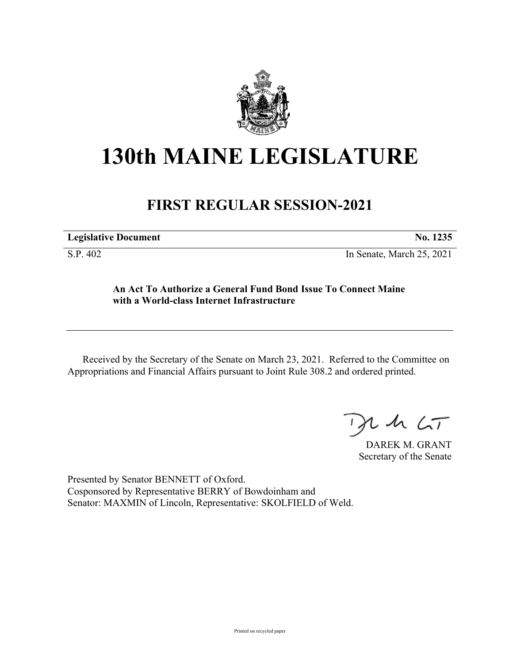

# **130th MAINE LEGISLATURE**

# **FIRST REGULAR SESSION-2021**

| <b>Legislative Document</b> | No. 1235 |
|-----------------------------|----------|
|                             |          |

S.P. 402 In Senate, March 25, 2021

## **An Act To Authorize a General Fund Bond Issue To Connect Maine with a World-class Internet Infrastructure**

Received by the Secretary of the Senate on March 23, 2021. Referred to the Committee on Appropriations and Financial Affairs pursuant to Joint Rule 308.2 and ordered printed.

 $125$ 

DAREK M. GRANT Secretary of the Senate

Presented by Senator BENNETT of Oxford. Cosponsored by Representative BERRY of Bowdoinham and Senator: MAXMIN of Lincoln, Representative: SKOLFIELD of Weld.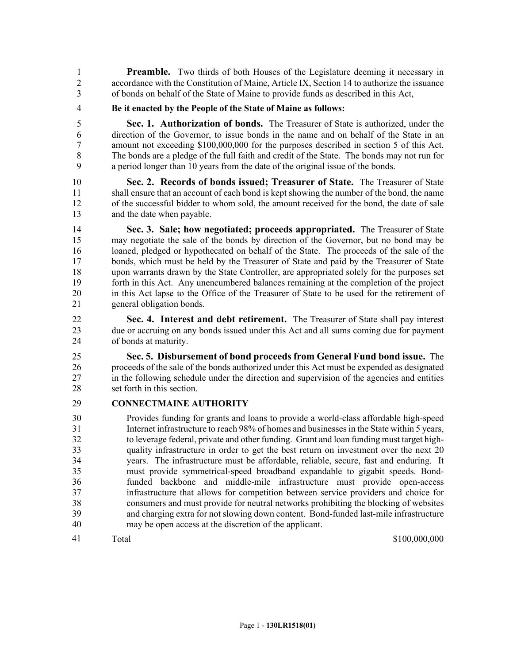**Preamble.** Two thirds of both Houses of the Legislature deeming it necessary in 2 accordance with the Constitution of Maine, Article IX, Section 14 to authorize the issuance 3 of bonds on behalf of the State of Maine to provide funds as described in this Act,

4 **Be it enacted by the People of the State of Maine as follows:**

5 **Sec. 1. Authorization of bonds.** The Treasurer of State is authorized, under the 6 direction of the Governor, to issue bonds in the name and on behalf of the State in an 7 amount not exceeding \$100,000,000 for the purposes described in section 5 of this Act. 8 The bonds are a pledge of the full faith and credit of the State. The bonds may not run for 9 a period longer than 10 years from the date of the original issue of the bonds.

10 **Sec. 2. Records of bonds issued; Treasurer of State.** The Treasurer of State 11 shall ensure that an account of each bond is kept showing the number of the bond, the name 12 of the successful bidder to whom sold, the amount received for the bond, the date of sale 13 and the date when payable.

14 **Sec. 3. Sale; how negotiated; proceeds appropriated.** The Treasurer of State 15 may negotiate the sale of the bonds by direction of the Governor, but no bond may be 16 loaned, pledged or hypothecated on behalf of the State. The proceeds of the sale of the 17 bonds, which must be held by the Treasurer of State and paid by the Treasurer of State 18 upon warrants drawn by the State Controller, are appropriated solely for the purposes set 19 forth in this Act. Any unencumbered balances remaining at the completion of the project 20 in this Act lapse to the Office of the Treasurer of State to be used for the retirement of 21 general obligation bonds.

22 **Sec. 4. Interest and debt retirement.** The Treasurer of State shall pay interest 23 due or accruing on any bonds issued under this Act and all sums coming due for payment 24 of bonds at maturity.

25 **Sec. 5. Disbursement of bond proceeds from General Fund bond issue.** The 26 proceeds of the sale of the bonds authorized under this Act must be expended as designated 27 in the following schedule under the direction and supervision of the agencies and entities 28 set forth in this section.

### 29 **CONNECTMAINE AUTHORITY**

30 Provides funding for grants and loans to provide a world-class affordable high-speed 31 Internet infrastructure to reach 98% of homes and businesses in the State within 5 years, 32 to leverage federal, private and other funding. Grant and loan funding must target high-33 quality infrastructure in order to get the best return on investment over the next 20 34 years. The infrastructure must be affordable, reliable, secure, fast and enduring. It 35 must provide symmetrical-speed broadband expandable to gigabit speeds. Bond-36 funded backbone and middle-mile infrastructure must provide open-access 37 infrastructure that allows for competition between service providers and choice for 38 consumers and must provide for neutral networks prohibiting the blocking of websites 39 and charging extra for not slowing down content. Bond-funded last-mile infrastructure 40 may be open access at the discretion of the applicant.

41 Total \$100,000,000 Total \$100,000,000 Total \$100,000,000 Total \$100,000,000 Total \$100,000,000 Total \$100,000,000 Total \$100,000,000 Total \$100,000,000 Total \$100,000,000 Total \$100,000,000 Total \$100,000,000 Total \$100